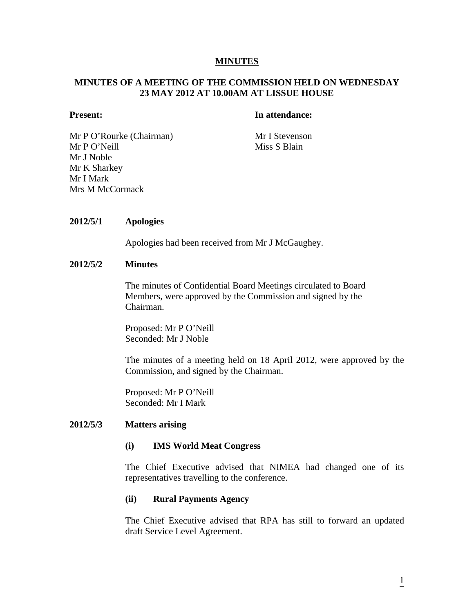# **MINUTES**

# **MINUTES OF A MEETING OF THE COMMISSION HELD ON WEDNESDAY 23 MAY 2012 AT 10.00AM AT LISSUE HOUSE**

### **Present:** In attendance:

Mr P O'Rourke (Chairman) Mr I Stevenson Mr P O'Neill Miss S Blain Mr J Noble Mr K Sharkey Mr I Mark Mrs M McCormack

# **2012/5/1 Apologies**

Apologies had been received from Mr J McGaughey.

#### **2012/5/2 Minutes**

The minutes of Confidential Board Meetings circulated to Board Members, were approved by the Commission and signed by the Chairman.

Proposed: Mr P O'Neill Seconded: Mr J Noble

The minutes of a meeting held on 18 April 2012, were approved by the Commission, and signed by the Chairman.

Proposed: Mr P O'Neill Seconded: Mr I Mark

#### **2012/5/3 Matters arising**

#### **(i) IMS World Meat Congress**

The Chief Executive advised that NIMEA had changed one of its representatives travelling to the conference.

#### **(ii) Rural Payments Agency**

The Chief Executive advised that RPA has still to forward an updated draft Service Level Agreement.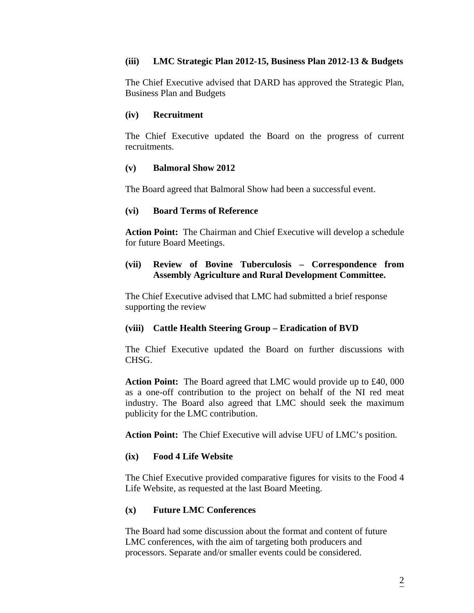# **(iii) LMC Strategic Plan 2012-15, Business Plan 2012-13 & Budgets**

The Chief Executive advised that DARD has approved the Strategic Plan, Business Plan and Budgets

# **(iv) Recruitment**

The Chief Executive updated the Board on the progress of current recruitments.

# **(v) Balmoral Show 2012**

The Board agreed that Balmoral Show had been a successful event.

# **(vi) Board Terms of Reference**

 **Action Point:** The Chairman and Chief Executive will develop a schedule for future Board Meetings.

# **(vii) Review of Bovine Tuberculosis – Correspondence from Assembly Agriculture and Rural Development Committee.**

 The Chief Executive advised that LMC had submitted a brief response supporting the review

# **(viii) Cattle Health Steering Group – Eradication of BVD**

The Chief Executive updated the Board on further discussions with CHSG.

**Action Point:** The Board agreed that LMC would provide up to £40, 000 as a one-off contribution to the project on behalf of the NI red meat industry. The Board also agreed that LMC should seek the maximum publicity for the LMC contribution.

**Action Point:** The Chief Executive will advise UFU of LMC's position.

### **(ix) Food 4 Life Website**

The Chief Executive provided comparative figures for visits to the Food 4 Life Website, as requested at the last Board Meeting.

# **(x) Future LMC Conferences**

 The Board had some discussion about the format and content of future LMC conferences, with the aim of targeting both producers and processors. Separate and/or smaller events could be considered.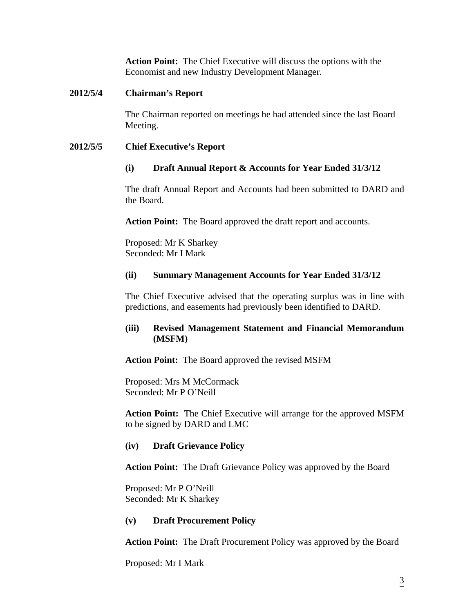**Action Point:** The Chief Executive will discuss the options with the Economist and new Industry Development Manager.

# **2012/5/4 Chairman's Report**

The Chairman reported on meetings he had attended since the last Board Meeting.

# **2012/5/5 Chief Executive's Report**

# **(i) Draft Annual Report & Accounts for Year Ended 31/3/12**

The draft Annual Report and Accounts had been submitted to DARD and the Board.

**Action Point:** The Board approved the draft report and accounts.

Proposed: Mr K Sharkey Seconded: Mr I Mark

# **(ii) Summary Management Accounts for Year Ended 31/3/12**

The Chief Executive advised that the operating surplus was in line with predictions, and easements had previously been identified to DARD.

# **(iii) Revised Management Statement and Financial Memorandum (MSFM)**

**Action Point:** The Board approved the revised MSFM

Proposed: Mrs M McCormack Seconded: Mr P O'Neill

**Action Point:** The Chief Executive will arrange for the approved MSFM to be signed by DARD and LMC

# **(iv) Draft Grievance Policy**

**Action Point:** The Draft Grievance Policy was approved by the Board

Proposed: Mr P O'Neill Seconded: Mr K Sharkey

# **(v) Draft Procurement Policy**

**Action Point:** The Draft Procurement Policy was approved by the Board

Proposed: Mr I Mark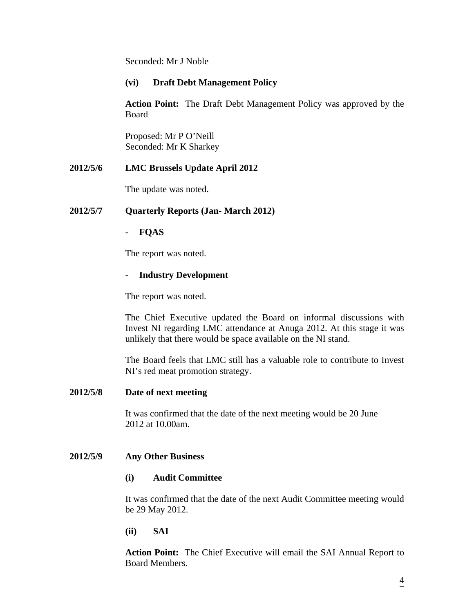Seconded: Mr J Noble

# **(vi) Draft Debt Management Policy**

**Action Point:** The Draft Debt Management Policy was approved by the Board

Proposed: Mr P O'Neill Seconded: Mr K Sharkey

# **2012/5/6 LMC Brussels Update April 2012**

The update was noted.

# **2012/5/7 Quarterly Reports (Jan- March 2012)**

# - **FQAS**

The report was noted.

# - **Industry Development**

The report was noted.

The Chief Executive updated the Board on informal discussions with Invest NI regarding LMC attendance at Anuga 2012. At this stage it was unlikely that there would be space available on the NI stand.

The Board feels that LMC still has a valuable role to contribute to Invest NI's red meat promotion strategy.

# **2012/5/8 Date of next meeting**

It was confirmed that the date of the next meeting would be 20 June 2012 at 10.00am.

# **2012/5/9 Any Other Business**

# **(i) Audit Committee**

It was confirmed that the date of the next Audit Committee meeting would be 29 May 2012.

# **(ii) SAI**

**Action Point:** The Chief Executive will email the SAI Annual Report to Board Members.